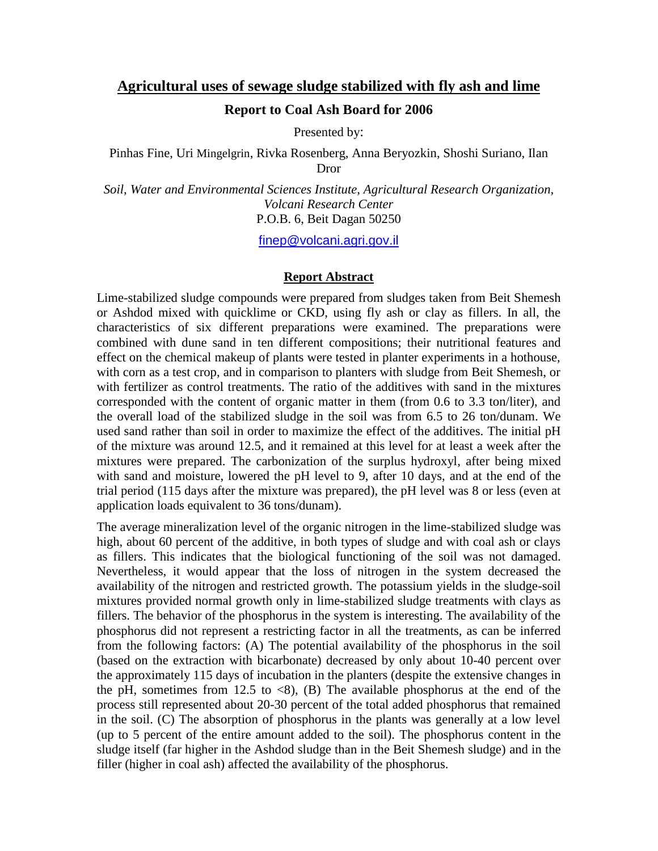## **Agricultural uses of sewage sludge stabilized with fly ash and lime**

## **Report to Coal Ash Board for 2006**

Presented by:

Pinhas Fine, Uri Mingelgrin, Rivka Rosenberg, Anna Beryozkin, Shoshi Suriano, Ilan Dror

*Soil*, *Water and Environmental Sciences Institute, Agricultural Research Organization, Volcani Research Center* P.O.B. 6, Beit Dagan 50250

[finep@volcani.agri.gov.il](mailto:finep@volcani.agri.gov.il)

## **Report Abstract**

Lime-stabilized sludge compounds were prepared from sludges taken from Beit Shemesh or Ashdod mixed with quicklime or CKD, using fly ash or clay as fillers. In all, the characteristics of six different preparations were examined. The preparations were combined with dune sand in ten different compositions; their nutritional features and effect on the chemical makeup of plants were tested in planter experiments in a hothouse, with corn as a test crop, and in comparison to planters with sludge from Beit Shemesh, or with fertilizer as control treatments. The ratio of the additives with sand in the mixtures corresponded with the content of organic matter in them (from 0.6 to 3.3 ton/liter), and the overall load of the stabilized sludge in the soil was from 6.5 to 26 ton/dunam. We used sand rather than soil in order to maximize the effect of the additives. The initial pH of the mixture was around 12.5, and it remained at this level for at least a week after the mixtures were prepared. The carbonization of the surplus hydroxyl, after being mixed with sand and moisture, lowered the pH level to 9, after 10 days, and at the end of the trial period (115 days after the mixture was prepared), the pH level was 8 or less (even at application loads equivalent to 36 tons/dunam).

The average mineralization level of the organic nitrogen in the lime-stabilized sludge was high, about 60 percent of the additive, in both types of sludge and with coal ash or clays as fillers. This indicates that the biological functioning of the soil was not damaged. Nevertheless, it would appear that the loss of nitrogen in the system decreased the availability of the nitrogen and restricted growth. The potassium yields in the sludge-soil mixtures provided normal growth only in lime-stabilized sludge treatments with clays as fillers. The behavior of the phosphorus in the system is interesting. The availability of the phosphorus did not represent a restricting factor in all the treatments, as can be inferred from the following factors: (A) The potential availability of the phosphorus in the soil (based on the extraction with bicarbonate) decreased by only about 10-40 percent over the approximately 115 days of incubation in the planters (despite the extensive changes in the pH, sometimes from 12.5 to  $\langle 8 \rangle$ , (B) The available phosphorus at the end of the process still represented about 20-30 percent of the total added phosphorus that remained in the soil. (C) The absorption of phosphorus in the plants was generally at a low level (up to 5 percent of the entire amount added to the soil). The phosphorus content in the sludge itself (far higher in the Ashdod sludge than in the Beit Shemesh sludge) and in the filler (higher in coal ash) affected the availability of the phosphorus.